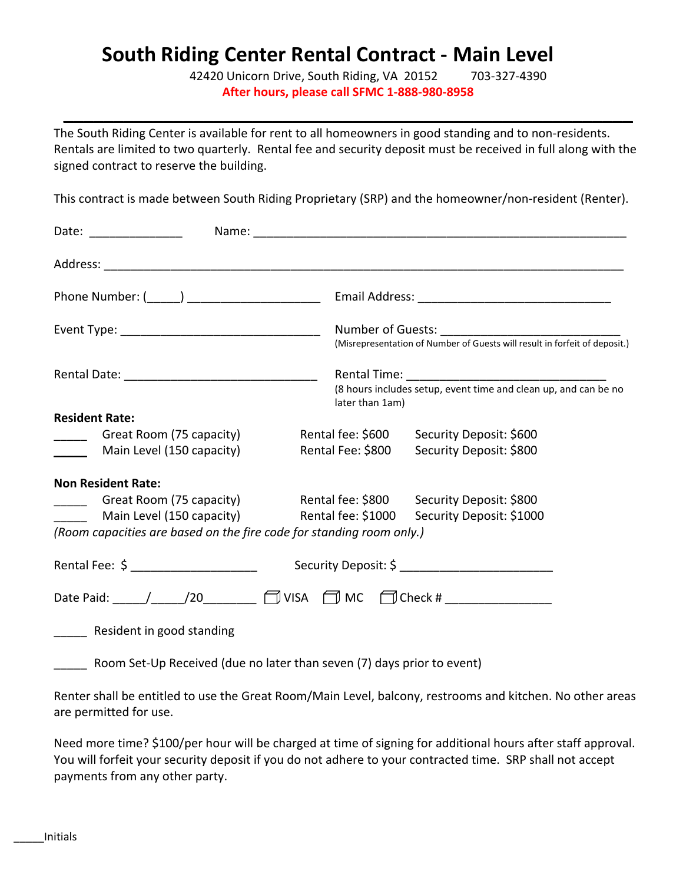# **South Riding Center Rental Contract - Main Level**

42420 Unicorn Drive, South Riding, VA 20152 703-327-4390 **After hours, please call SFMC 1-888-980-8958**

The South Riding Center is available for rent to all homeowners in good standing and to non-residents. Rentals are limited to two quarterly. Rental fee and security deposit must be received in full along with the signed contract to reserve the building.

**\_\_\_\_\_\_\_\_\_\_\_\_\_\_\_\_\_\_\_\_\_\_\_\_\_\_\_\_\_\_\_\_\_\_\_\_\_\_\_\_\_\_\_\_\_\_\_\_\_\_\_\_\_\_\_\_\_**

This contract is made between South Riding Proprietary (SRP) and the homeowner/non-resident (Renter).

| Date: ________________                                                          |                    |                                                                                    |  |
|---------------------------------------------------------------------------------|--------------------|------------------------------------------------------------------------------------|--|
|                                                                                 |                    |                                                                                    |  |
|                                                                                 |                    |                                                                                    |  |
|                                                                                 |                    | (Misrepresentation of Number of Guests will result in forfeit of deposit.)         |  |
|                                                                                 |                    | (8 hours includes setup, event time and clean up, and can be no<br>later than 1am) |  |
| <b>Resident Rate:</b>                                                           |                    |                                                                                    |  |
| _______ Great Room (75 capacity)                                                |                    | Rental fee: \$600 Security Deposit: \$600                                          |  |
| Main Level (150 capacity)                                                       | Rental Fee: \$800  | Security Deposit: \$800                                                            |  |
| <b>Non Resident Rate:</b>                                                       |                    |                                                                                    |  |
| Great Room (75 capacity) Rental fee: \$800 Security Deposit: \$800              |                    |                                                                                    |  |
| Main Level (150 capacity)                                                       | Rental fee: \$1000 | Security Deposit: \$1000                                                           |  |
| (Room capacities are based on the fire code for standing room only.)            |                    |                                                                                    |  |
|                                                                                 |                    | Security Deposit: \$ ____________________________                                  |  |
| Date Paid: ____/____/20________ 1 VISA $\Box$ MC $\Box$ Check # _______________ |                    |                                                                                    |  |
| Resident in good standing                                                       |                    |                                                                                    |  |
| Room Set-Up Received (due no later than seven (7) days prior to event)          |                    |                                                                                    |  |

Renter shall be entitled to use the Great Room/Main Level, balcony, restrooms and kitchen. No other areas are permitted for use.

Need more time? \$100/per hour will be charged at time of signing for additional hours after staff approval. You will forfeit your security deposit if you do not adhere to your contracted time. SRP shall not accept payments from any other party.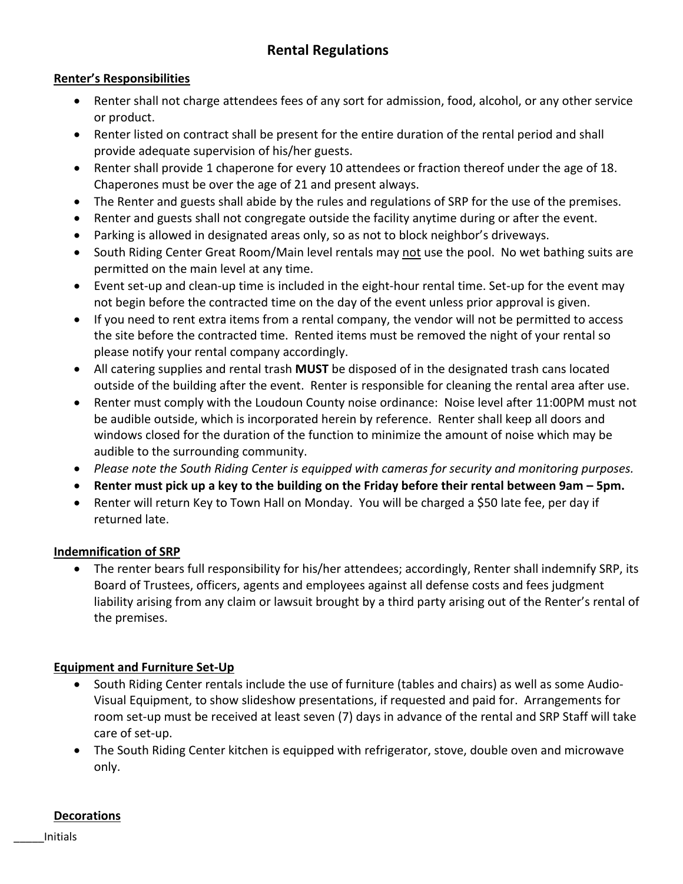# **Rental Regulations**

# **Renter's Responsibilities**

- Renter shall not charge attendees fees of any sort for admission, food, alcohol, or any other service or product.
- Renter listed on contract shall be present for the entire duration of the rental period and shall provide adequate supervision of his/her guests.
- Renter shall provide 1 chaperone for every 10 attendees or fraction thereof under the age of 18. Chaperones must be over the age of 21 and present always.
- The Renter and guests shall abide by the rules and regulations of SRP for the use of the premises.
- Renter and guests shall not congregate outside the facility anytime during or after the event.
- Parking is allowed in designated areas only, so as not to block neighbor's driveways.
- South Riding Center Great Room/Main level rentals may not use the pool. No wet bathing suits are permitted on the main level at any time.
- Event set-up and clean-up time is included in the eight-hour rental time. Set-up for the event may not begin before the contracted time on the day of the event unless prior approval is given.
- If you need to rent extra items from a rental company, the vendor will not be permitted to access the site before the contracted time. Rented items must be removed the night of your rental so please notify your rental company accordingly.
- All catering supplies and rental trash **MUST** be disposed of in the designated trash cans located outside of the building after the event. Renter is responsible for cleaning the rental area after use.
- Renter must comply with the Loudoun County noise ordinance: Noise level after 11:00PM must not be audible outside, which is incorporated herein by reference. Renter shall keep all doors and windows closed for the duration of the function to minimize the amount of noise which may be audible to the surrounding community.
- *Please note the South Riding Center is equipped with cameras for security and monitoring purposes.*
- **Renter must pick up a key to the building on the Friday before their rental between 9am – 5pm.**
- Renter will return Key to Town Hall on Monday. You will be charged a \$50 late fee, per day if returned late.

# **Indemnification of SRP**

• The renter bears full responsibility for his/her attendees; accordingly, Renter shall indemnify SRP, its Board of Trustees, officers, agents and employees against all defense costs and fees judgment liability arising from any claim or lawsuit brought by a third party arising out of the Renter's rental of the premises.

# **Equipment and Furniture Set-Up**

- South Riding Center rentals include the use of furniture (tables and chairs) as well as some Audio-Visual Equipment, to show slideshow presentations, if requested and paid for. Arrangements for room set-up must be received at least seven (7) days in advance of the rental and SRP Staff will take care of set-up.
- The South Riding Center kitchen is equipped with refrigerator, stove, double oven and microwave only.

#### **Decorations**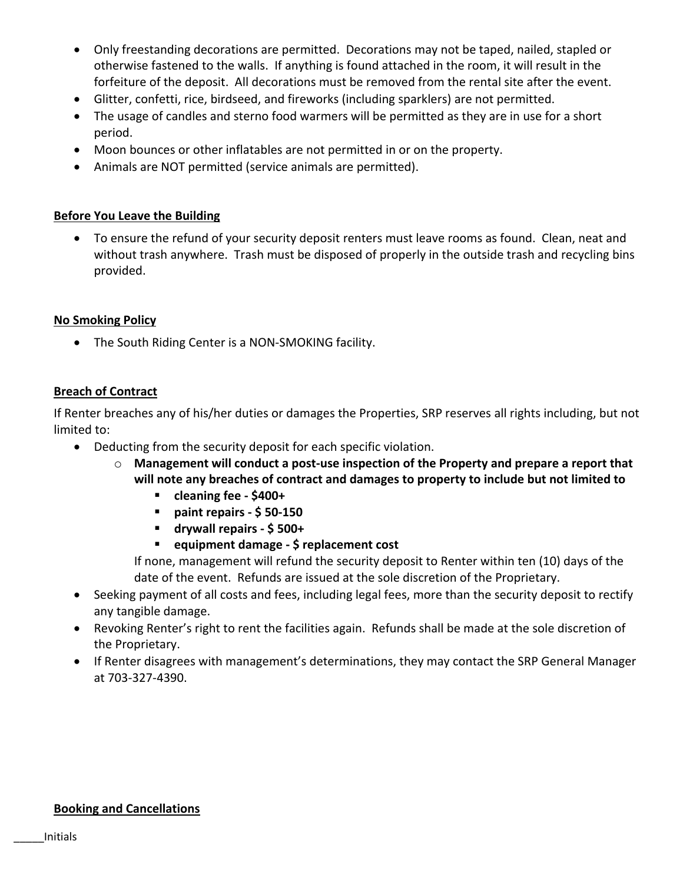- Only freestanding decorations are permitted. Decorations may not be taped, nailed, stapled or otherwise fastened to the walls. If anything is found attached in the room, it will result in the forfeiture of the deposit. All decorations must be removed from the rental site after the event.
- Glitter, confetti, rice, birdseed, and fireworks (including sparklers) are not permitted.
- The usage of candles and sterno food warmers will be permitted as they are in use for a short period.
- Moon bounces or other inflatables are not permitted in or on the property.
- Animals are NOT permitted (service animals are permitted).

#### **Before You Leave the Building**

• To ensure the refund of your security deposit renters must leave rooms as found. Clean, neat and without trash anywhere. Trash must be disposed of properly in the outside trash and recycling bins provided.

#### **No Smoking Policy**

• The South Riding Center is a NON-SMOKING facility.

#### **Breach of Contract**

If Renter breaches any of his/her duties or damages the Properties, SRP reserves all rights including, but not limited to:

- Deducting from the security deposit for each specific violation.
	- o **Management will conduct a post-use inspection of the Property and prepare a report that will note any breaches of contract and damages to property to include but not limited to** 
		- **cleaning fee - \$400+**
		- **paint repairs - \$ 50-150**
		- **drywall repairs - \$ 500+**
		- **equipment damage - \$ replacement cost**

If none, management will refund the security deposit to Renter within ten (10) days of the date of the event. Refunds are issued at the sole discretion of the Proprietary.

- Seeking payment of all costs and fees, including legal fees, more than the security deposit to rectify any tangible damage.
- Revoking Renter's right to rent the facilities again. Refunds shall be made at the sole discretion of the Proprietary.
- If Renter disagrees with management's determinations, they may contact the SRP General Manager at 703-327-4390.

#### **Booking and Cancellations**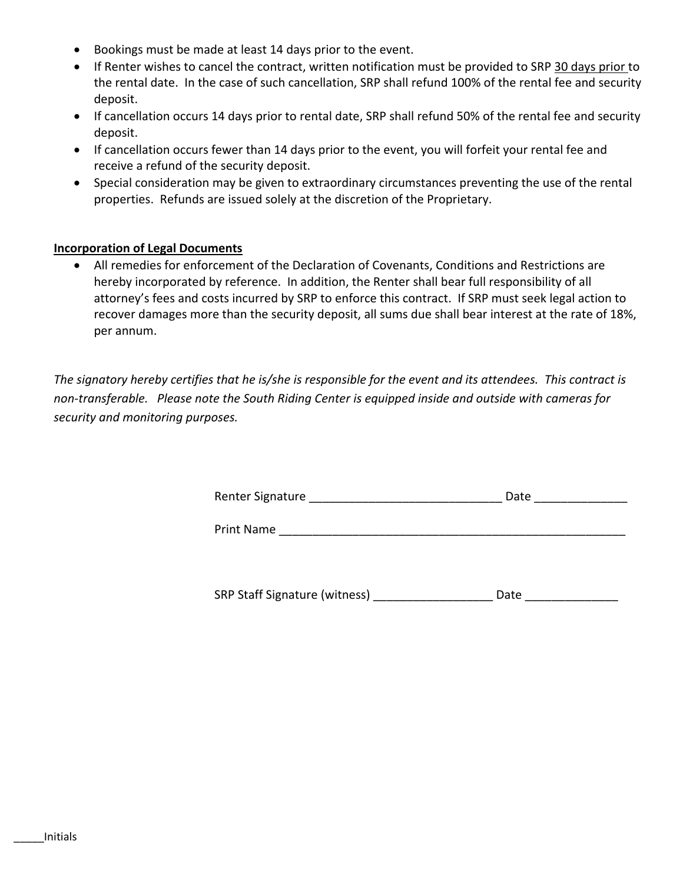- Bookings must be made at least 14 days prior to the event.
- If Renter wishes to cancel the contract, written notification must be provided to SRP 30 days prior to the rental date. In the case of such cancellation, SRP shall refund 100% of the rental fee and security deposit.
- If cancellation occurs 14 days prior to rental date, SRP shall refund 50% of the rental fee and security deposit.
- If cancellation occurs fewer than 14 days prior to the event, you will forfeit your rental fee and receive a refund of the security deposit.
- Special consideration may be given to extraordinary circumstances preventing the use of the rental properties. Refunds are issued solely at the discretion of the Proprietary.

#### **Incorporation of Legal Documents**

• All remedies for enforcement of the Declaration of Covenants, Conditions and Restrictions are hereby incorporated by reference. In addition, the Renter shall bear full responsibility of all attorney's fees and costs incurred by SRP to enforce this contract. If SRP must seek legal action to recover damages more than the security deposit, all sums due shall bear interest at the rate of 18%, per annum.

*The signatory hereby certifies that he is/she is responsible for the event and its attendees. This contract is non-transferable. Please note the South Riding Center is equipped inside and outside with cameras for security and monitoring purposes.*

| Renter Signature | Date |  |
|------------------|------|--|
|                  |      |  |

Print Name

SRP Staff Signature (witness) \_\_\_\_\_\_\_\_\_\_\_\_\_\_\_\_\_\_\_\_\_\_\_\_\_ Date \_\_\_\_\_\_\_\_\_\_\_\_\_\_\_\_\_\_\_